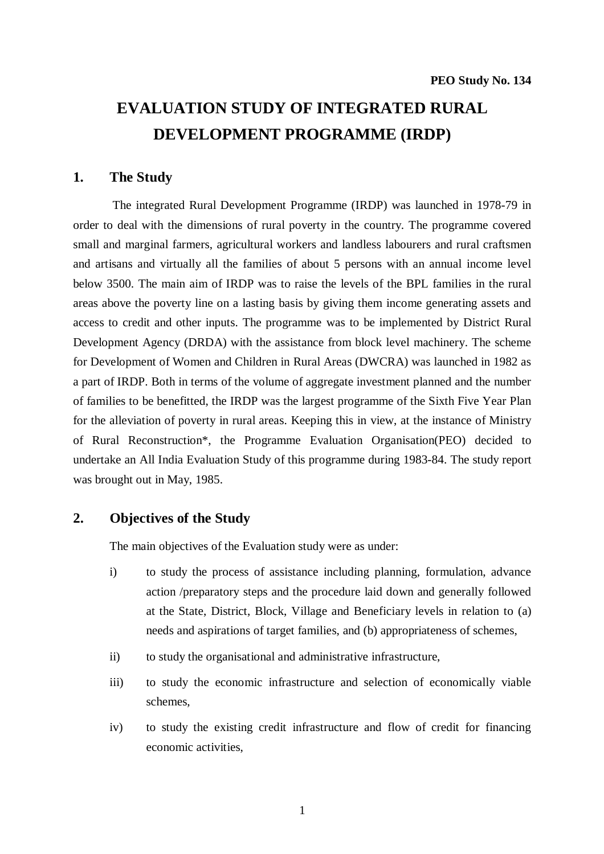# **EVALUATION STUDY OF INTEGRATED RURAL DEVELOPMENT PROGRAMME (IRDP)**

#### **1. The Study**

 The integrated Rural Development Programme (IRDP) was launched in 1978-79 in order to deal with the dimensions of rural poverty in the country. The programme covered small and marginal farmers, agricultural workers and landless labourers and rural craftsmen and artisans and virtually all the families of about 5 persons with an annual income level below 3500. The main aim of IRDP was to raise the levels of the BPL families in the rural areas above the poverty line on a lasting basis by giving them income generating assets and access to credit and other inputs. The programme was to be implemented by District Rural Development Agency (DRDA) with the assistance from block level machinery. The scheme for Development of Women and Children in Rural Areas (DWCRA) was launched in 1982 as a part of IRDP. Both in terms of the volume of aggregate investment planned and the number of families to be benefitted, the IRDP was the largest programme of the Sixth Five Year Plan for the alleviation of poverty in rural areas. Keeping this in view, at the instance of Ministry of Rural Reconstruction\*, the Programme Evaluation Organisation(PEO) decided to undertake an All India Evaluation Study of this programme during 1983-84. The study report was brought out in May, 1985.

# **2. Objectives of the Study**

The main objectives of the Evaluation study were as under:

- i) to study the process of assistance including planning, formulation, advance action /preparatory steps and the procedure laid down and generally followed at the State, District, Block, Village and Beneficiary levels in relation to (a) needs and aspirations of target families, and (b) appropriateness of schemes,
- ii) to study the organisational and administrative infrastructure,
- iii) to study the economic infrastructure and selection of economically viable schemes,
- iv) to study the existing credit infrastructure and flow of credit for financing economic activities,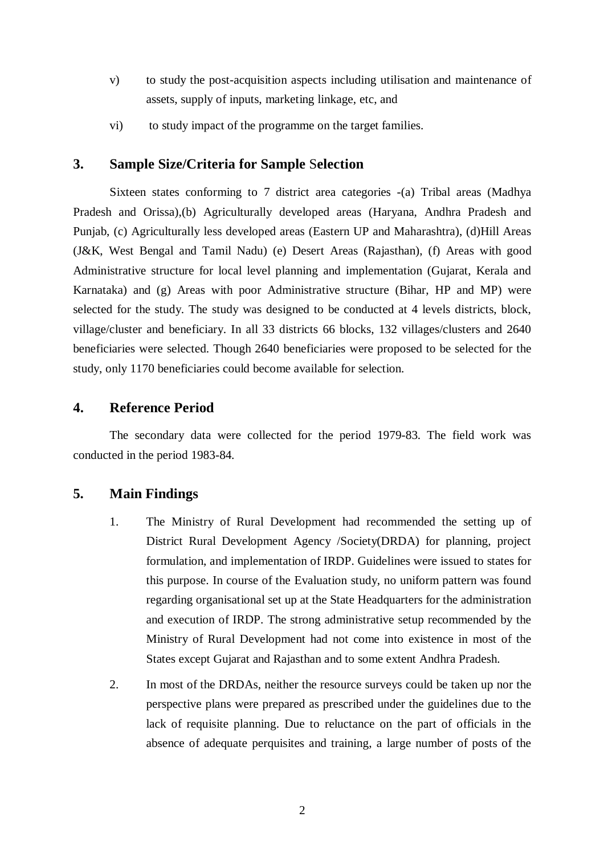- v) to study the post-acquisition aspects including utilisation and maintenance of assets, supply of inputs, marketing linkage, etc, and
- vi) to study impact of the programme on the target families.

# **3. Sample Size/Criteria for Sample** S**election**

Sixteen states conforming to 7 district area categories -(a) Tribal areas (Madhya Pradesh and Orissa),(b) Agriculturally developed areas (Haryana, Andhra Pradesh and Punjab, (c) Agriculturally less developed areas (Eastern UP and Maharashtra), (d)Hill Areas (J&K, West Bengal and Tamil Nadu) (e) Desert Areas (Rajasthan), (f) Areas with good Administrative structure for local level planning and implementation (Gujarat, Kerala and Karnataka) and (g) Areas with poor Administrative structure (Bihar, HP and MP) were selected for the study. The study was designed to be conducted at 4 levels districts, block, village/cluster and beneficiary. In all 33 districts 66 blocks, 132 villages/clusters and 2640 beneficiaries were selected. Though 2640 beneficiaries were proposed to be selected for the study, only 1170 beneficiaries could become available for selection.

# **4. Reference Period**

The secondary data were collected for the period 1979-83. The field work was conducted in the period 1983-84.

# **5. Main Findings**

- 1. The Ministry of Rural Development had recommended the setting up of District Rural Development Agency /Society(DRDA) for planning, project formulation, and implementation of IRDP. Guidelines were issued to states for this purpose. In course of the Evaluation study, no uniform pattern was found regarding organisational set up at the State Headquarters for the administration and execution of IRDP. The strong administrative setup recommended by the Ministry of Rural Development had not come into existence in most of the States except Gujarat and Rajasthan and to some extent Andhra Pradesh.
- 2. In most of the DRDAs, neither the resource surveys could be taken up nor the perspective plans were prepared as prescribed under the guidelines due to the lack of requisite planning. Due to reluctance on the part of officials in the absence of adequate perquisites and training, a large number of posts of the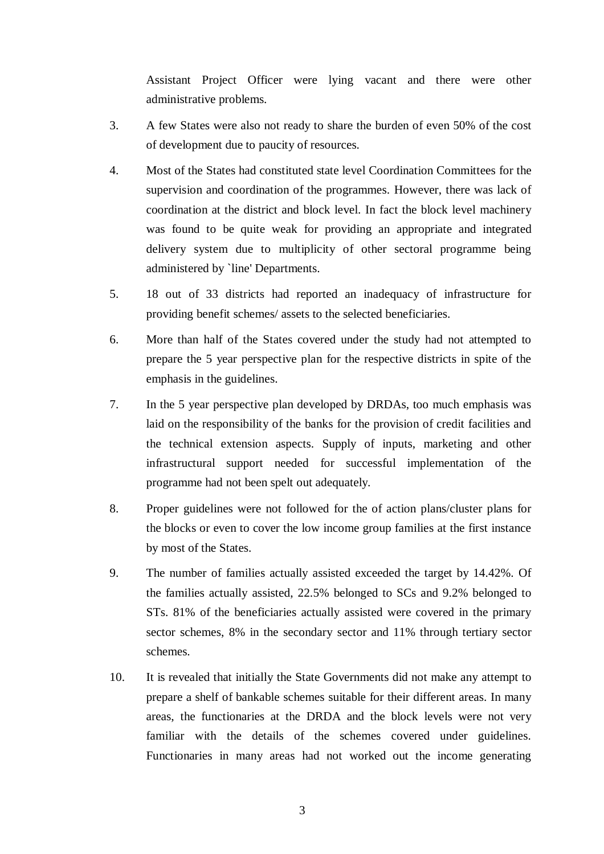Assistant Project Officer were lying vacant and there were other administrative problems.

- 3. A few States were also not ready to share the burden of even 50% of the cost of development due to paucity of resources.
- 4. Most of the States had constituted state level Coordination Committees for the supervision and coordination of the programmes. However, there was lack of coordination at the district and block level. In fact the block level machinery was found to be quite weak for providing an appropriate and integrated delivery system due to multiplicity of other sectoral programme being administered by `line' Departments.
- 5. 18 out of 33 districts had reported an inadequacy of infrastructure for providing benefit schemes/ assets to the selected beneficiaries.
- 6. More than half of the States covered under the study had not attempted to prepare the 5 year perspective plan for the respective districts in spite of the emphasis in the guidelines.
- 7. In the 5 year perspective plan developed by DRDAs, too much emphasis was laid on the responsibility of the banks for the provision of credit facilities and the technical extension aspects. Supply of inputs, marketing and other infrastructural support needed for successful implementation of the programme had not been spelt out adequately.
- 8. Proper guidelines were not followed for the of action plans/cluster plans for the blocks or even to cover the low income group families at the first instance by most of the States.
- 9. The number of families actually assisted exceeded the target by 14.42%. Of the families actually assisted, 22.5% belonged to SCs and 9.2% belonged to STs. 81% of the beneficiaries actually assisted were covered in the primary sector schemes, 8% in the secondary sector and 11% through tertiary sector schemes.
- 10. It is revealed that initially the State Governments did not make any attempt to prepare a shelf of bankable schemes suitable for their different areas. In many areas, the functionaries at the DRDA and the block levels were not very familiar with the details of the schemes covered under guidelines. Functionaries in many areas had not worked out the income generating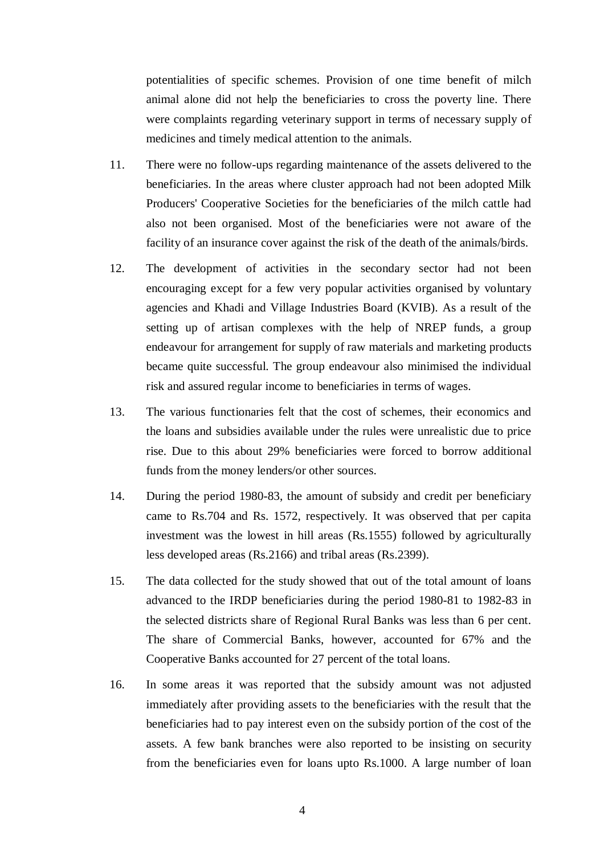potentialities of specific schemes. Provision of one time benefit of milch animal alone did not help the beneficiaries to cross the poverty line. There were complaints regarding veterinary support in terms of necessary supply of medicines and timely medical attention to the animals.

- 11. There were no follow-ups regarding maintenance of the assets delivered to the beneficiaries. In the areas where cluster approach had not been adopted Milk Producers' Cooperative Societies for the beneficiaries of the milch cattle had also not been organised. Most of the beneficiaries were not aware of the facility of an insurance cover against the risk of the death of the animals/birds.
- 12. The development of activities in the secondary sector had not been encouraging except for a few very popular activities organised by voluntary agencies and Khadi and Village Industries Board (KVIB). As a result of the setting up of artisan complexes with the help of NREP funds, a group endeavour for arrangement for supply of raw materials and marketing products became quite successful. The group endeavour also minimised the individual risk and assured regular income to beneficiaries in terms of wages.
- 13. The various functionaries felt that the cost of schemes, their economics and the loans and subsidies available under the rules were unrealistic due to price rise. Due to this about 29% beneficiaries were forced to borrow additional funds from the money lenders/or other sources.
- 14. During the period 1980-83, the amount of subsidy and credit per beneficiary came to Rs.704 and Rs. 1572, respectively. It was observed that per capita investment was the lowest in hill areas (Rs.1555) followed by agriculturally less developed areas (Rs.2166) and tribal areas (Rs.2399).
- 15. The data collected for the study showed that out of the total amount of loans advanced to the IRDP beneficiaries during the period 1980-81 to 1982-83 in the selected districts share of Regional Rural Banks was less than 6 per cent. The share of Commercial Banks, however, accounted for 67% and the Cooperative Banks accounted for 27 percent of the total loans.
- 16. In some areas it was reported that the subsidy amount was not adjusted immediately after providing assets to the beneficiaries with the result that the beneficiaries had to pay interest even on the subsidy portion of the cost of the assets. A few bank branches were also reported to be insisting on security from the beneficiaries even for loans upto Rs.1000. A large number of loan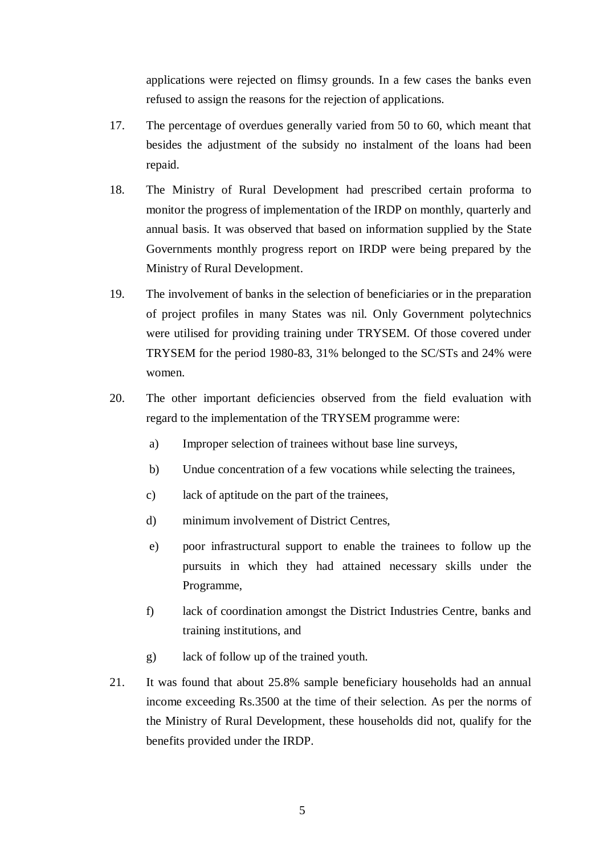applications were rejected on flimsy grounds. In a few cases the banks even refused to assign the reasons for the rejection of applications.

- 17. The percentage of overdues generally varied from 50 to 60, which meant that besides the adjustment of the subsidy no instalment of the loans had been repaid.
- 18. The Ministry of Rural Development had prescribed certain proforma to monitor the progress of implementation of the IRDP on monthly, quarterly and annual basis. It was observed that based on information supplied by the State Governments monthly progress report on IRDP were being prepared by the Ministry of Rural Development.
- 19. The involvement of banks in the selection of beneficiaries or in the preparation of project profiles in many States was nil. Only Government polytechnics were utilised for providing training under TRYSEM. Of those covered under TRYSEM for the period 1980-83, 31% belonged to the SC/STs and 24% were women.
- 20. The other important deficiencies observed from the field evaluation with regard to the implementation of the TRYSEM programme were:
	- a) Improper selection of trainees without base line surveys,
	- b) Undue concentration of a few vocations while selecting the trainees,
	- c) lack of aptitude on the part of the trainees,
	- d) minimum involvement of District Centres,
	- e) poor infrastructural support to enable the trainees to follow up the pursuits in which they had attained necessary skills under the Programme,
	- f) lack of coordination amongst the District Industries Centre, banks and training institutions, and
	- g) lack of follow up of the trained youth.
- 21. It was found that about 25.8% sample beneficiary households had an annual income exceeding Rs.3500 at the time of their selection. As per the norms of the Ministry of Rural Development, these households did not, qualify for the benefits provided under the IRDP.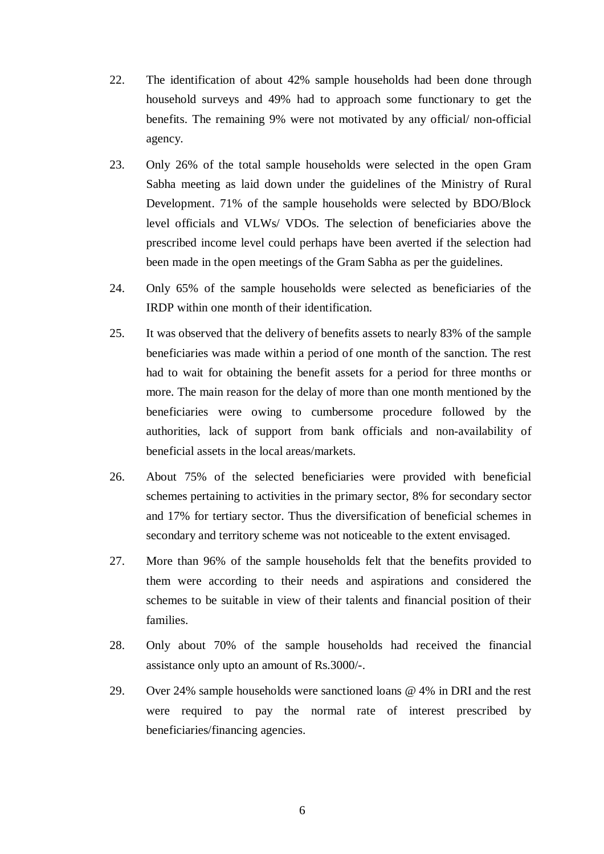- 22. The identification of about 42% sample households had been done through household surveys and 49% had to approach some functionary to get the benefits. The remaining 9% were not motivated by any official/ non-official agency.
- 23. Only 26% of the total sample households were selected in the open Gram Sabha meeting as laid down under the guidelines of the Ministry of Rural Development. 71% of the sample households were selected by BDO/Block level officials and VLWs/ VDOs. The selection of beneficiaries above the prescribed income level could perhaps have been averted if the selection had been made in the open meetings of the Gram Sabha as per the guidelines.
- 24. Only 65% of the sample households were selected as beneficiaries of the IRDP within one month of their identification.
- 25. It was observed that the delivery of benefits assets to nearly 83% of the sample beneficiaries was made within a period of one month of the sanction. The rest had to wait for obtaining the benefit assets for a period for three months or more. The main reason for the delay of more than one month mentioned by the beneficiaries were owing to cumbersome procedure followed by the authorities, lack of support from bank officials and non-availability of beneficial assets in the local areas/markets.
- 26. About 75% of the selected beneficiaries were provided with beneficial schemes pertaining to activities in the primary sector, 8% for secondary sector and 17% for tertiary sector. Thus the diversification of beneficial schemes in secondary and territory scheme was not noticeable to the extent envisaged.
- 27. More than 96% of the sample households felt that the benefits provided to them were according to their needs and aspirations and considered the schemes to be suitable in view of their talents and financial position of their families.
- 28. Only about 70% of the sample households had received the financial assistance only upto an amount of Rs.3000/-.
- 29. Over 24% sample households were sanctioned loans @ 4% in DRI and the rest were required to pay the normal rate of interest prescribed by beneficiaries/financing agencies.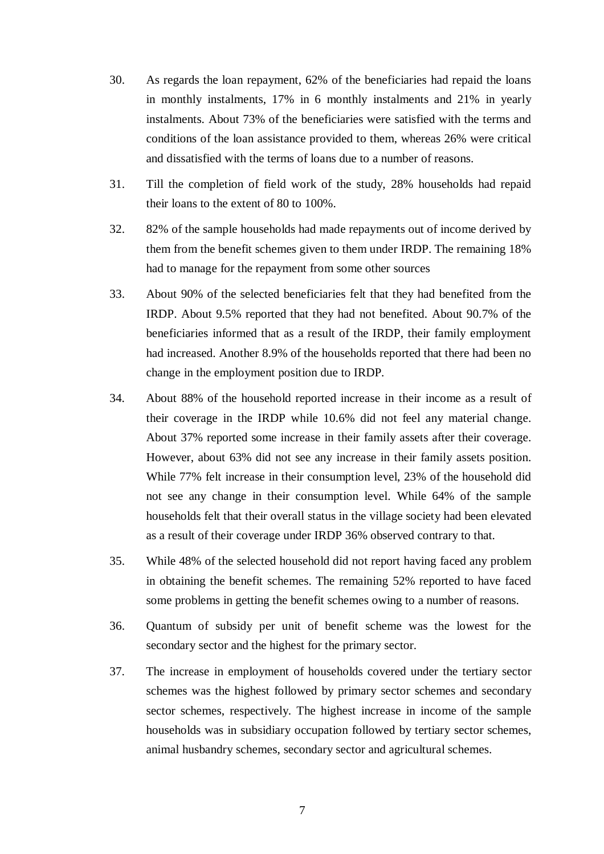- 30. As regards the loan repayment, 62% of the beneficiaries had repaid the loans in monthly instalments, 17% in 6 monthly instalments and 21% in yearly instalments. About 73% of the beneficiaries were satisfied with the terms and conditions of the loan assistance provided to them, whereas 26% were critical and dissatisfied with the terms of loans due to a number of reasons.
- 31. Till the completion of field work of the study, 28% households had repaid their loans to the extent of 80 to 100%.
- 32. 82% of the sample households had made repayments out of income derived by them from the benefit schemes given to them under IRDP. The remaining 18% had to manage for the repayment from some other sources
- 33. About 90% of the selected beneficiaries felt that they had benefited from the IRDP. About 9.5% reported that they had not benefited. About 90.7% of the beneficiaries informed that as a result of the IRDP, their family employment had increased. Another 8.9% of the households reported that there had been no change in the employment position due to IRDP.
- 34. About 88% of the household reported increase in their income as a result of their coverage in the IRDP while 10.6% did not feel any material change. About 37% reported some increase in their family assets after their coverage. However, about 63% did not see any increase in their family assets position. While 77% felt increase in their consumption level, 23% of the household did not see any change in their consumption level. While 64% of the sample households felt that their overall status in the village society had been elevated as a result of their coverage under IRDP 36% observed contrary to that.
- 35. While 48% of the selected household did not report having faced any problem in obtaining the benefit schemes. The remaining 52% reported to have faced some problems in getting the benefit schemes owing to a number of reasons.
- 36. Quantum of subsidy per unit of benefit scheme was the lowest for the secondary sector and the highest for the primary sector.
- 37. The increase in employment of households covered under the tertiary sector schemes was the highest followed by primary sector schemes and secondary sector schemes, respectively. The highest increase in income of the sample households was in subsidiary occupation followed by tertiary sector schemes, animal husbandry schemes, secondary sector and agricultural schemes.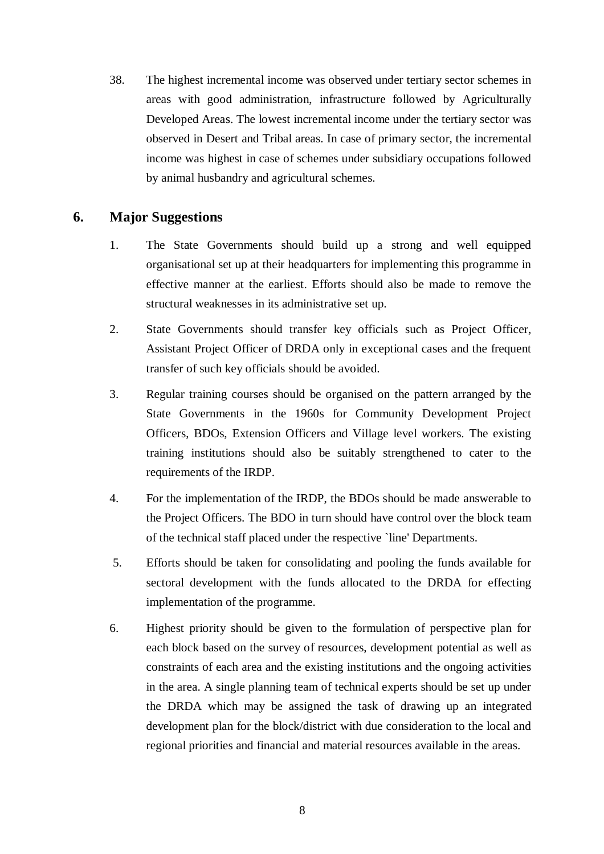38. The highest incremental income was observed under tertiary sector schemes in areas with good administration, infrastructure followed by Agriculturally Developed Areas. The lowest incremental income under the tertiary sector was observed in Desert and Tribal areas. In case of primary sector, the incremental income was highest in case of schemes under subsidiary occupations followed by animal husbandry and agricultural schemes.

# **6. Major Suggestions**

- 1. The State Governments should build up a strong and well equipped organisational set up at their headquarters for implementing this programme in effective manner at the earliest. Efforts should also be made to remove the structural weaknesses in its administrative set up.
- 2. State Governments should transfer key officials such as Project Officer, Assistant Project Officer of DRDA only in exceptional cases and the frequent transfer of such key officials should be avoided.
- 3. Regular training courses should be organised on the pattern arranged by the State Governments in the 1960s for Community Development Project Officers, BDOs, Extension Officers and Village level workers. The existing training institutions should also be suitably strengthened to cater to the requirements of the IRDP.
- 4. For the implementation of the IRDP, the BDOs should be made answerable to the Project Officers. The BDO in turn should have control over the block team of the technical staff placed under the respective `line' Departments.
- 5. Efforts should be taken for consolidating and pooling the funds available for sectoral development with the funds allocated to the DRDA for effecting implementation of the programme.
- 6. Highest priority should be given to the formulation of perspective plan for each block based on the survey of resources, development potential as well as constraints of each area and the existing institutions and the ongoing activities in the area. A single planning team of technical experts should be set up under the DRDA which may be assigned the task of drawing up an integrated development plan for the block/district with due consideration to the local and regional priorities and financial and material resources available in the areas.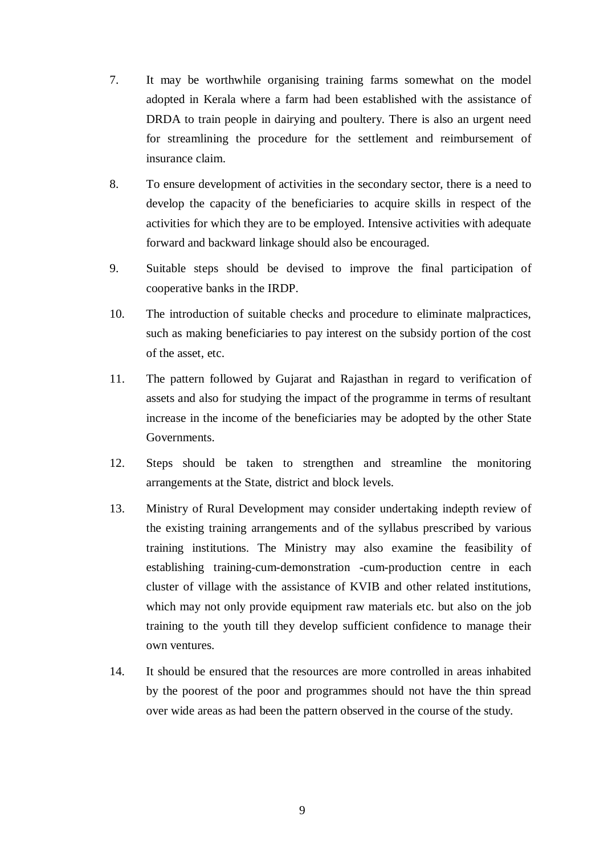- 7. It may be worthwhile organising training farms somewhat on the model adopted in Kerala where a farm had been established with the assistance of DRDA to train people in dairying and poultery. There is also an urgent need for streamlining the procedure for the settlement and reimbursement of insurance claim.
- 8. To ensure development of activities in the secondary sector, there is a need to develop the capacity of the beneficiaries to acquire skills in respect of the activities for which they are to be employed. Intensive activities with adequate forward and backward linkage should also be encouraged.
- 9. Suitable steps should be devised to improve the final participation of cooperative banks in the IRDP.
- 10. The introduction of suitable checks and procedure to eliminate malpractices, such as making beneficiaries to pay interest on the subsidy portion of the cost of the asset, etc.
- 11. The pattern followed by Gujarat and Rajasthan in regard to verification of assets and also for studying the impact of the programme in terms of resultant increase in the income of the beneficiaries may be adopted by the other State Governments.
- 12. Steps should be taken to strengthen and streamline the monitoring arrangements at the State, district and block levels.
- 13. Ministry of Rural Development may consider undertaking indepth review of the existing training arrangements and of the syllabus prescribed by various training institutions. The Ministry may also examine the feasibility of establishing training-cum-demonstration -cum-production centre in each cluster of village with the assistance of KVIB and other related institutions, which may not only provide equipment raw materials etc. but also on the job training to the youth till they develop sufficient confidence to manage their own ventures.
- 14. It should be ensured that the resources are more controlled in areas inhabited by the poorest of the poor and programmes should not have the thin spread over wide areas as had been the pattern observed in the course of the study.